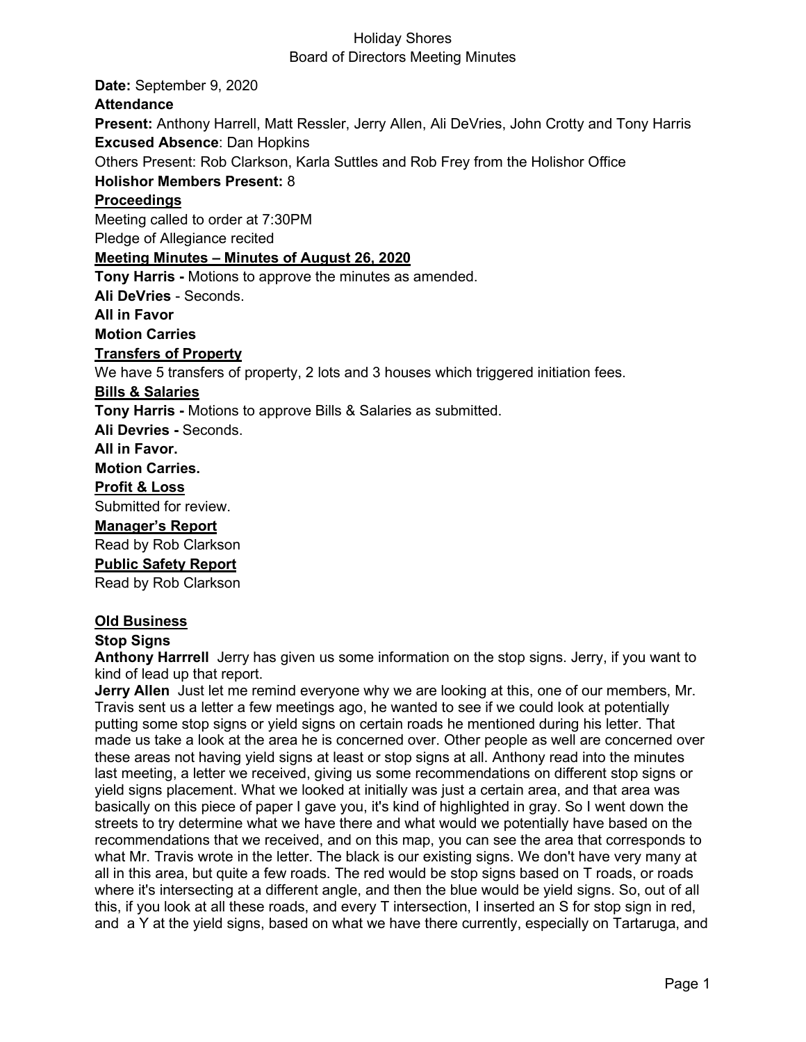**Date:** September 9, 2020 **Attendance Present:** Anthony Harrell, Matt Ressler, Jerry Allen, Ali DeVries, John Crotty and Tony Harris **Excused Absence**: Dan Hopkins Others Present: Rob Clarkson, Karla Suttles and Rob Frey from the Holishor Office **Holishor Members Present:** 8 **Proceedings** Meeting called to order at 7:30PM Pledge of Allegiance recited **Meeting Minutes – Minutes of August 26, 2020 Tony Harris -** Motions to approve the minutes as amended. **Ali DeVries** - Seconds. **All in Favor Motion Carries Transfers of Property** We have 5 transfers of property, 2 lots and 3 houses which triggered initiation fees. **Bills & Salaries Tony Harris -** Motions to approve Bills & Salaries as submitted. **Ali Devries -** Seconds. **All in Favor. Motion Carries. Profit & Loss** Submitted for review. **Manager's Report** Read by Rob Clarkson **Public Safety Report**  Read by Rob Clarkson

## **Old Business**

## **Stop Signs**

**Anthony Harrrell** Jerry has given us some information on the stop signs. Jerry, if you want to kind of lead up that report.

**Jerry Allen** Just let me remind everyone why we are looking at this, one of our members, Mr. Travis sent us a letter a few meetings ago, he wanted to see if we could look at potentially putting some stop signs or yield signs on certain roads he mentioned during his letter. That made us take a look at the area he is concerned over. Other people as well are concerned over these areas not having yield signs at least or stop signs at all. Anthony read into the minutes last meeting, a letter we received, giving us some recommendations on different stop signs or yield signs placement. What we looked at initially was just a certain area, and that area was basically on this piece of paper I gave you, it's kind of highlighted in gray. So I went down the streets to try determine what we have there and what would we potentially have based on the recommendations that we received, and on this map, you can see the area that corresponds to what Mr. Travis wrote in the letter. The black is our existing signs. We don't have very many at all in this area, but quite a few roads. The red would be stop signs based on T roads, or roads where it's intersecting at a different angle, and then the blue would be yield signs. So, out of all this, if you look at all these roads, and every T intersection, I inserted an S for stop sign in red, and a Y at the yield signs, based on what we have there currently, especially on Tartaruga, and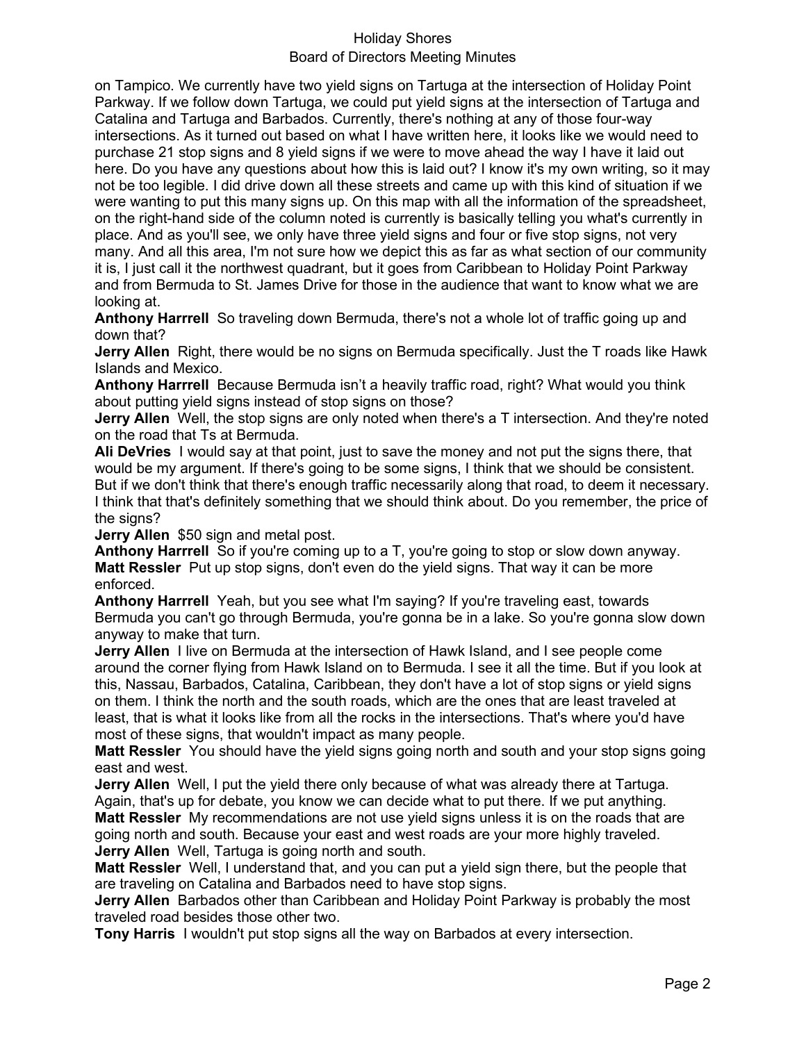## Board of Directors Meeting Minutes

on Tampico. We currently have two yield signs on Tartuga at the intersection of Holiday Point Parkway. If we follow down Tartuga, we could put yield signs at the intersection of Tartuga and Catalina and Tartuga and Barbados. Currently, there's nothing at any of those four-way intersections. As it turned out based on what I have written here, it looks like we would need to purchase 21 stop signs and 8 yield signs if we were to move ahead the way I have it laid out here. Do you have any questions about how this is laid out? I know it's my own writing, so it may not be too legible. I did drive down all these streets and came up with this kind of situation if we were wanting to put this many signs up. On this map with all the information of the spreadsheet, on the right-hand side of the column noted is currently is basically telling you what's currently in place. And as you'll see, we only have three yield signs and four or five stop signs, not very many. And all this area, I'm not sure how we depict this as far as what section of our community it is, I just call it the northwest quadrant, but it goes from Caribbean to Holiday Point Parkway and from Bermuda to St. James Drive for those in the audience that want to know what we are looking at.

**Anthony Harrrell** So traveling down Bermuda, there's not a whole lot of traffic going up and down that?

**Jerry Allen** Right, there would be no signs on Bermuda specifically. Just the T roads like Hawk Islands and Mexico.

**Anthony Harrrell** Because Bermuda isn't a heavily traffic road, right? What would you think about putting yield signs instead of stop signs on those?

**Jerry Allen** Well, the stop signs are only noted when there's a T intersection. And they're noted on the road that Ts at Bermuda.

**Ali DeVries** I would say at that point, just to save the money and not put the signs there, that would be my argument. If there's going to be some signs, I think that we should be consistent. But if we don't think that there's enough traffic necessarily along that road, to deem it necessary. I think that that's definitely something that we should think about. Do you remember, the price of the signs?

**Jerry Allen** \$50 sign and metal post.

**Anthony Harrrell** So if you're coming up to a T, you're going to stop or slow down anyway. **Matt Ressler** Put up stop signs, don't even do the yield signs. That way it can be more enforced.

**Anthony Harrrell** Yeah, but you see what I'm saying? If you're traveling east, towards Bermuda you can't go through Bermuda, you're gonna be in a lake. So you're gonna slow down anyway to make that turn.

**Jerry Allen** I live on Bermuda at the intersection of Hawk Island, and I see people come around the corner flying from Hawk Island on to Bermuda. I see it all the time. But if you look at this, Nassau, Barbados, Catalina, Caribbean, they don't have a lot of stop signs or yield signs on them. I think the north and the south roads, which are the ones that are least traveled at least, that is what it looks like from all the rocks in the intersections. That's where you'd have most of these signs, that wouldn't impact as many people.

**Matt Ressler** You should have the yield signs going north and south and your stop signs going east and west.

**Jerry Allen** Well, I put the yield there only because of what was already there at Tartuga. Again, that's up for debate, you know we can decide what to put there. If we put anything. **Matt Ressler** My recommendations are not use yield signs unless it is on the roads that are going north and south. Because your east and west roads are your more highly traveled. **Jerry Allen** Well, Tartuga is going north and south.

**Matt Ressler** Well, I understand that, and you can put a yield sign there, but the people that are traveling on Catalina and Barbados need to have stop signs.

**Jerry Allen** Barbados other than Caribbean and Holiday Point Parkway is probably the most traveled road besides those other two.

**Tony Harris** I wouldn't put stop signs all the way on Barbados at every intersection.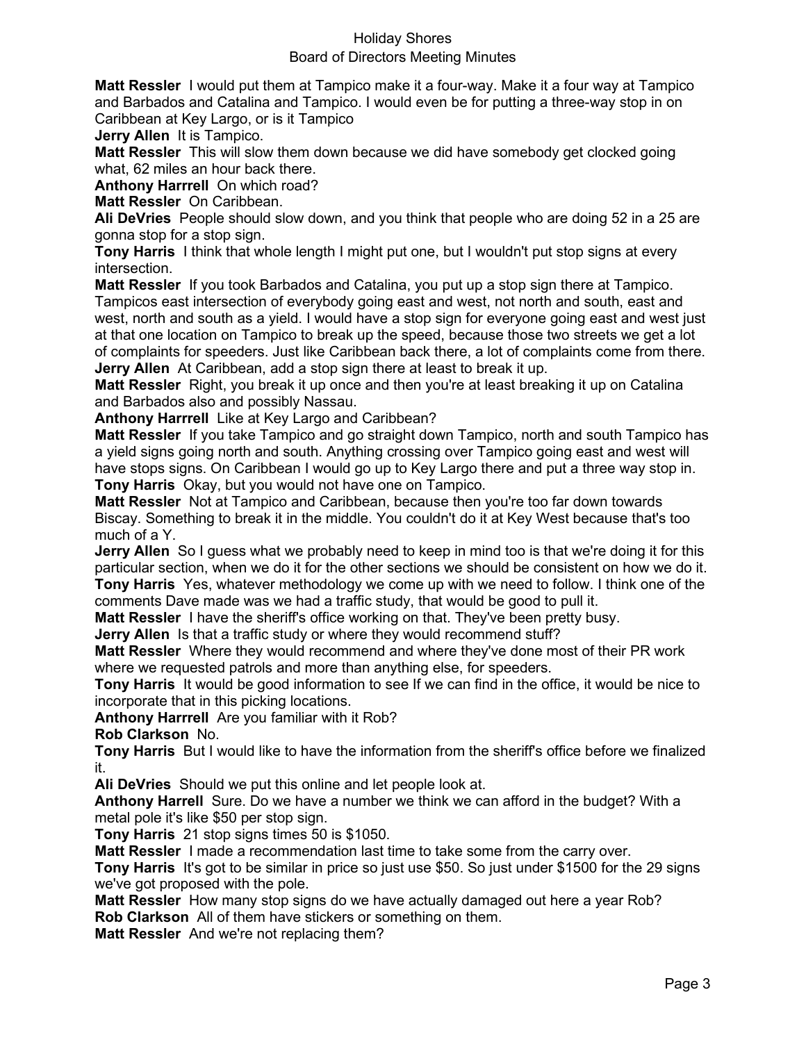#### Board of Directors Meeting Minutes

**Matt Ressler** I would put them at Tampico make it a four-way. Make it a four way at Tampico and Barbados and Catalina and Tampico. I would even be for putting a three-way stop in on Caribbean at Key Largo, or is it Tampico

**Jerry Allen** It is Tampico.

**Matt Ressler** This will slow them down because we did have somebody get clocked going what, 62 miles an hour back there.

**Anthony Harrrell** On which road?

**Matt Ressler** On Caribbean.

**Ali DeVries** People should slow down, and you think that people who are doing 52 in a 25 are gonna stop for a stop sign.

**Tony Harris** I think that whole length I might put one, but I wouldn't put stop signs at every intersection.

**Matt Ressler** If you took Barbados and Catalina, you put up a stop sign there at Tampico. Tampicos east intersection of everybody going east and west, not north and south, east and west, north and south as a yield. I would have a stop sign for everyone going east and west just at that one location on Tampico to break up the speed, because those two streets we get a lot of complaints for speeders. Just like Caribbean back there, a lot of complaints come from there. **Jerry Allen** At Caribbean, add a stop sign there at least to break it up.

**Matt Ressler** Right, you break it up once and then you're at least breaking it up on Catalina and Barbados also and possibly Nassau.

**Anthony Harrrell** Like at Key Largo and Caribbean?

**Matt Ressler** If you take Tampico and go straight down Tampico, north and south Tampico has a yield signs going north and south. Anything crossing over Tampico going east and west will have stops signs. On Caribbean I would go up to Key Largo there and put a three way stop in. **Tony Harris** Okay, but you would not have one on Tampico.

**Matt Ressler** Not at Tampico and Caribbean, because then you're too far down towards Biscay. Something to break it in the middle. You couldn't do it at Key West because that's too much of a Y.

**Jerry Allen** So I guess what we probably need to keep in mind too is that we're doing it for this particular section, when we do it for the other sections we should be consistent on how we do it. **Tony Harris** Yes, whatever methodology we come up with we need to follow. I think one of the comments Dave made was we had a traffic study, that would be good to pull it.

**Matt Ressler** I have the sheriff's office working on that. They've been pretty busy.

**Jerry Allen** Is that a traffic study or where they would recommend stuff?

**Matt Ressler** Where they would recommend and where they've done most of their PR work where we requested patrols and more than anything else, for speeders.

**Tony Harris** It would be good information to see If we can find in the office, it would be nice to incorporate that in this picking locations.

**Anthony Harrrell** Are you familiar with it Rob?

**Rob Clarkson** No.

**Tony Harris** But I would like to have the information from the sheriff's office before we finalized it.

**Ali DeVries** Should we put this online and let people look at.

**Anthony Harrell** Sure. Do we have a number we think we can afford in the budget? With a metal pole it's like \$50 per stop sign.

**Tony Harris** 21 stop signs times 50 is \$1050.

**Matt Ressler** I made a recommendation last time to take some from the carry over.

**Tony Harris** It's got to be similar in price so just use \$50. So just under \$1500 for the 29 signs we've got proposed with the pole.

**Matt Ressler** How many stop signs do we have actually damaged out here a year Rob? **Rob Clarkson** All of them have stickers or something on them.

**Matt Ressler** And we're not replacing them?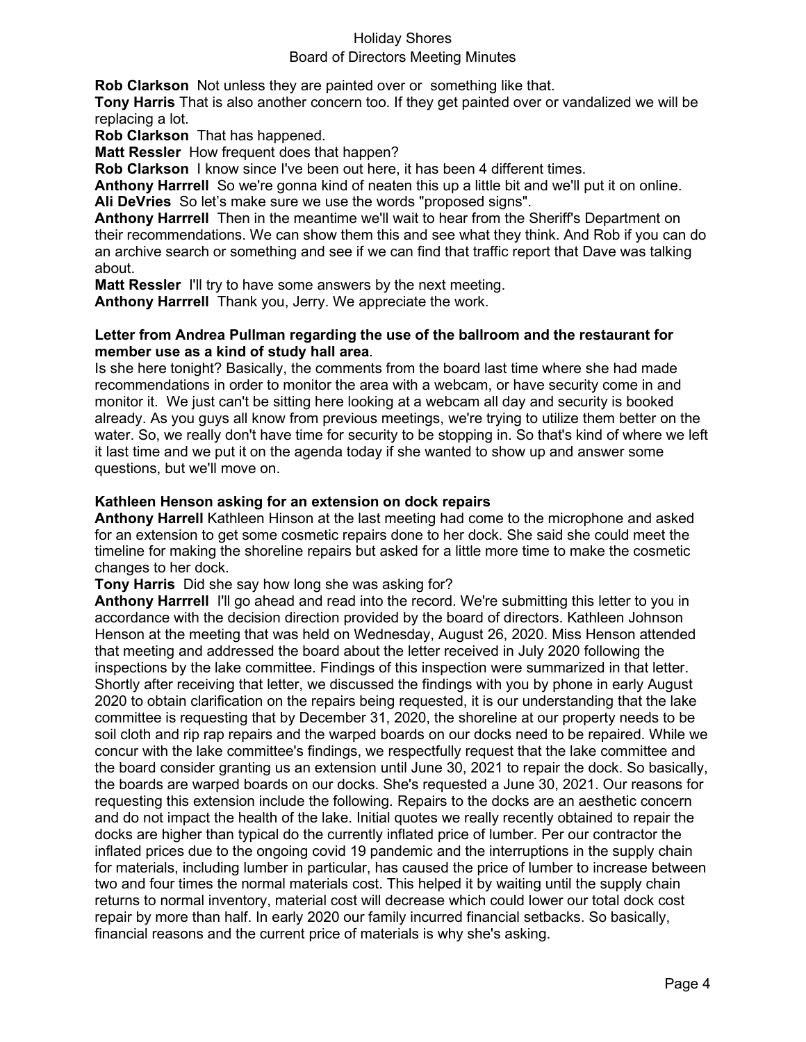#### Board of Directors Meeting Minutes

**Rob Clarkson** Not unless they are painted over or something like that.

**Tony Harris** That is also another concern too. If they get painted over or vandalized we will be replacing a lot.

**Rob Clarkson** That has happened.

**Matt Ressler** How frequent does that happen?

**Rob Clarkson** I know since I've been out here, it has been 4 different times.

**Anthony Harrrell** So we're gonna kind of neaten this up a little bit and we'll put it on online. **Ali DeVries** So let's make sure we use the words "proposed signs".

**Anthony Harrrell** Then in the meantime we'll wait to hear from the Sheriff's Department on their recommendations. We can show them this and see what they think. And Rob if you can do an archive search or something and see if we can find that traffic report that Dave was talking about.

**Matt Ressler** I'll try to have some answers by the next meeting.

**Anthony Harrrell** Thank you, Jerry. We appreciate the work.

#### **Letter from Andrea Pullman regarding the use of the ballroom and the restaurant for member use as a kind of study hall area**.

Is she here tonight? Basically, the comments from the board last time where she had made recommendations in order to monitor the area with a webcam, or have security come in and monitor it. We just can't be sitting here looking at a webcam all day and security is booked already. As you guys all know from previous meetings, we're trying to utilize them better on the water. So, we really don't have time for security to be stopping in. So that's kind of where we left it last time and we put it on the agenda today if she wanted to show up and answer some questions, but we'll move on.

## **Kathleen Henson asking for an extension on dock repairs**

**Anthony Harrell** Kathleen Hinson at the last meeting had come to the microphone and asked for an extension to get some cosmetic repairs done to her dock. She said she could meet the timeline for making the shoreline repairs but asked for a little more time to make the cosmetic changes to her dock.

**Tony Harris** Did she say how long she was asking for?

**Anthony Harrrell** I'll go ahead and read into the record. We're submitting this letter to you in accordance with the decision direction provided by the board of directors. Kathleen Johnson Henson at the meeting that was held on Wednesday, August 26, 2020. Miss Henson attended that meeting and addressed the board about the letter received in July 2020 following the inspections by the lake committee. Findings of this inspection were summarized in that letter. Shortly after receiving that letter, we discussed the findings with you by phone in early August 2020 to obtain clarification on the repairs being requested, it is our understanding that the lake committee is requesting that by December 31, 2020, the shoreline at our property needs to be soil cloth and rip rap repairs and the warped boards on our docks need to be repaired. While we concur with the lake committee's findings, we respectfully request that the lake committee and the board consider granting us an extension until June 30, 2021 to repair the dock. So basically, the boards are warped boards on our docks. She's requested a June 30, 2021. Our reasons for requesting this extension include the following. Repairs to the docks are an aesthetic concern and do not impact the health of the lake. Initial quotes we really recently obtained to repair the docks are higher than typical do the currently inflated price of lumber. Per our contractor the inflated prices due to the ongoing covid 19 pandemic and the interruptions in the supply chain for materials, including lumber in particular, has caused the price of lumber to increase between two and four times the normal materials cost. This helped it by waiting until the supply chain returns to normal inventory, material cost will decrease which could lower our total dock cost repair by more than half. In early 2020 our family incurred financial setbacks. So basically, financial reasons and the current price of materials is why she's asking.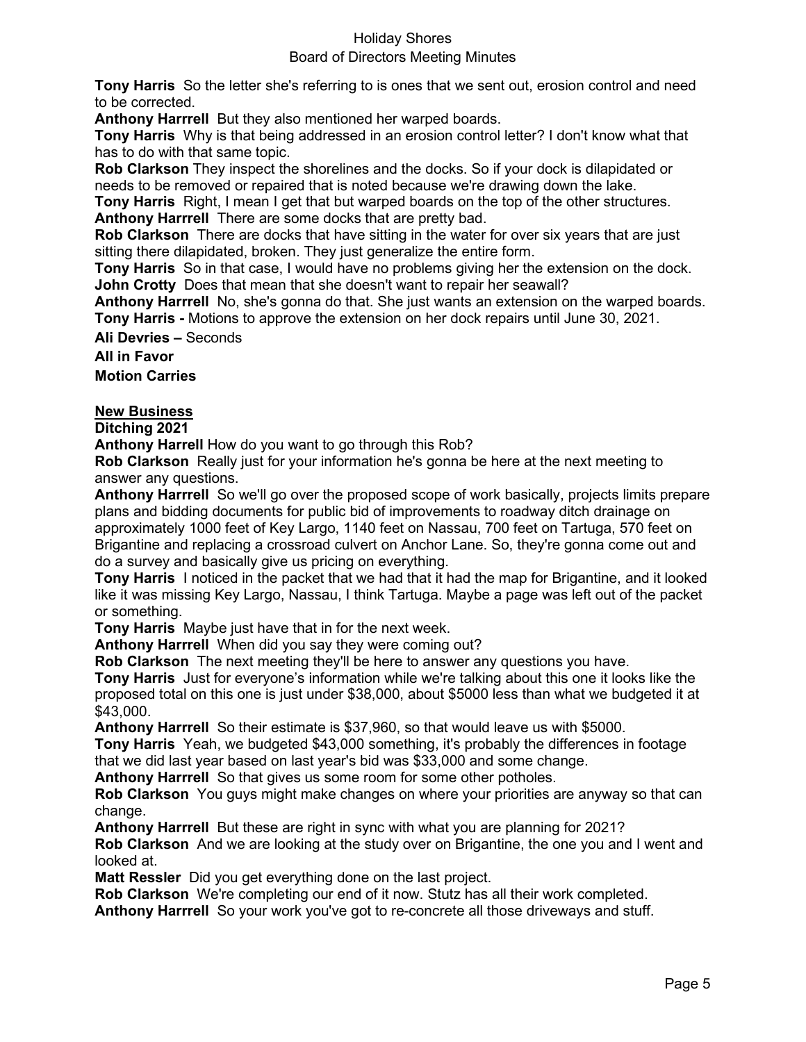## Board of Directors Meeting Minutes

**Tony Harris** So the letter she's referring to is ones that we sent out, erosion control and need to be corrected.

**Anthony Harrrell** But they also mentioned her warped boards.

**Tony Harris** Why is that being addressed in an erosion control letter? I don't know what that has to do with that same topic.

**Rob Clarkson** They inspect the shorelines and the docks. So if your dock is dilapidated or needs to be removed or repaired that is noted because we're drawing down the lake.

**Tony Harris** Right, I mean I get that but warped boards on the top of the other structures. **Anthony Harrrell** There are some docks that are pretty bad.

**Rob Clarkson** There are docks that have sitting in the water for over six years that are just sitting there dilapidated, broken. They just generalize the entire form.

**Tony Harris** So in that case, I would have no problems giving her the extension on the dock. **John Crotty** Does that mean that she doesn't want to repair her seawall?

**Anthony Harrrell** No, she's gonna do that. She just wants an extension on the warped boards. **Tony Harris -** Motions to approve the extension on her dock repairs until June 30, 2021.

**Ali Devries –** Seconds

**All in Favor Motion Carries**

## **New Business**

**Ditching 2021**

**Anthony Harrell** How do you want to go through this Rob?

**Rob Clarkson** Really just for your information he's gonna be here at the next meeting to answer any questions.

**Anthony Harrrell** So we'll go over the proposed scope of work basically, projects limits prepare plans and bidding documents for public bid of improvements to roadway ditch drainage on approximately 1000 feet of Key Largo, 1140 feet on Nassau, 700 feet on Tartuga, 570 feet on Brigantine and replacing a crossroad culvert on Anchor Lane. So, they're gonna come out and do a survey and basically give us pricing on everything.

**Tony Harris** I noticed in the packet that we had that it had the map for Brigantine, and it looked like it was missing Key Largo, Nassau, I think Tartuga. Maybe a page was left out of the packet or something.

**Tony Harris** Maybe just have that in for the next week.

**Anthony Harrrell** When did you say they were coming out?

**Rob Clarkson** The next meeting they'll be here to answer any questions you have.

**Tony Harris** Just for everyone's information while we're talking about this one it looks like the proposed total on this one is just under \$38,000, about \$5000 less than what we budgeted it at \$43,000.

**Anthony Harrrell** So their estimate is \$37,960, so that would leave us with \$5000.

**Tony Harris** Yeah, we budgeted \$43,000 something, it's probably the differences in footage that we did last year based on last year's bid was \$33,000 and some change.

**Anthony Harrrell** So that gives us some room for some other potholes.

**Rob Clarkson** You guys might make changes on where your priorities are anyway so that can change.

**Anthony Harrrell** But these are right in sync with what you are planning for 2021?

**Rob Clarkson** And we are looking at the study over on Brigantine, the one you and I went and looked at.

**Matt Ressler** Did you get everything done on the last project.

**Rob Clarkson** We're completing our end of it now. Stutz has all their work completed. **Anthony Harrrell** So your work you've got to re-concrete all those driveways and stuff.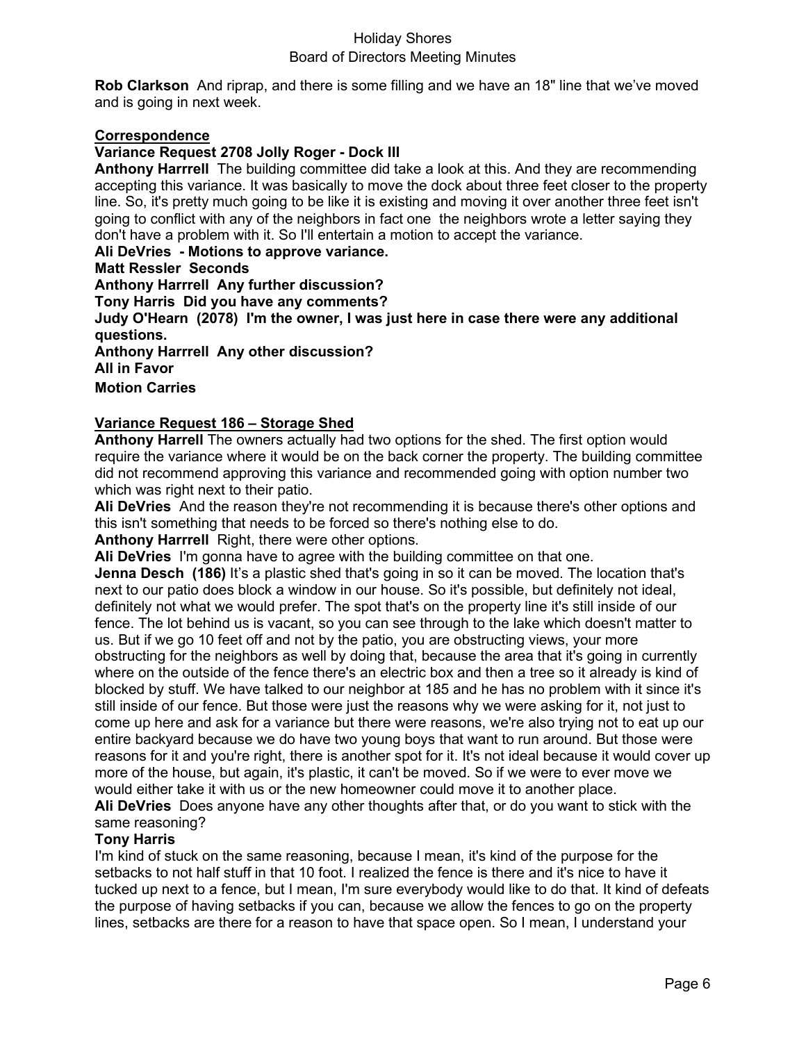**Rob Clarkson** And riprap, and there is some filling and we have an 18" line that we've moved and is going in next week.

### **Correspondence**

## **Variance Request 2708 Jolly Roger - Dock III**

**Anthony Harrrell** The building committee did take a look at this. And they are recommending accepting this variance. It was basically to move the dock about three feet closer to the property line. So, it's pretty much going to be like it is existing and moving it over another three feet isn't going to conflict with any of the neighbors in fact one the neighbors wrote a letter saying they don't have a problem with it. So I'll entertain a motion to accept the variance.

### **Ali DeVries - Motions to approve variance.**

#### **Matt Ressler Seconds**

**Anthony Harrrell Any further discussion? Tony Harris Did you have any comments? Judy O'Hearn (2078) I'm the owner, I was just here in case there were any additional questions. Anthony Harrrell Any other discussion? All in Favor Motion Carries**

## **Variance Request 186 – Storage Shed**

**Anthony Harrell** The owners actually had two options for the shed. The first option would require the variance where it would be on the back corner the property. The building committee did not recommend approving this variance and recommended going with option number two which was right next to their patio.

**Ali DeVries** And the reason they're not recommending it is because there's other options and this isn't something that needs to be forced so there's nothing else to do.

**Anthony Harrrell** Right, there were other options.

**Ali DeVries** I'm gonna have to agree with the building committee on that one.

**Jenna Desch (186)** It's a plastic shed that's going in so it can be moved. The location that's next to our patio does block a window in our house. So it's possible, but definitely not ideal, definitely not what we would prefer. The spot that's on the property line it's still inside of our fence. The lot behind us is vacant, so you can see through to the lake which doesn't matter to us. But if we go 10 feet off and not by the patio, you are obstructing views, your more obstructing for the neighbors as well by doing that, because the area that it's going in currently where on the outside of the fence there's an electric box and then a tree so it already is kind of blocked by stuff. We have talked to our neighbor at 185 and he has no problem with it since it's still inside of our fence. But those were just the reasons why we were asking for it, not just to come up here and ask for a variance but there were reasons, we're also trying not to eat up our entire backyard because we do have two young boys that want to run around. But those were reasons for it and you're right, there is another spot for it. It's not ideal because it would cover up more of the house, but again, it's plastic, it can't be moved. So if we were to ever move we would either take it with us or the new homeowner could move it to another place.

**Ali DeVries** Does anyone have any other thoughts after that, or do you want to stick with the same reasoning?

## **Tony Harris**

I'm kind of stuck on the same reasoning, because I mean, it's kind of the purpose for the setbacks to not half stuff in that 10 foot. I realized the fence is there and it's nice to have it tucked up next to a fence, but I mean, I'm sure everybody would like to do that. It kind of defeats the purpose of having setbacks if you can, because we allow the fences to go on the property lines, setbacks are there for a reason to have that space open. So I mean, I understand your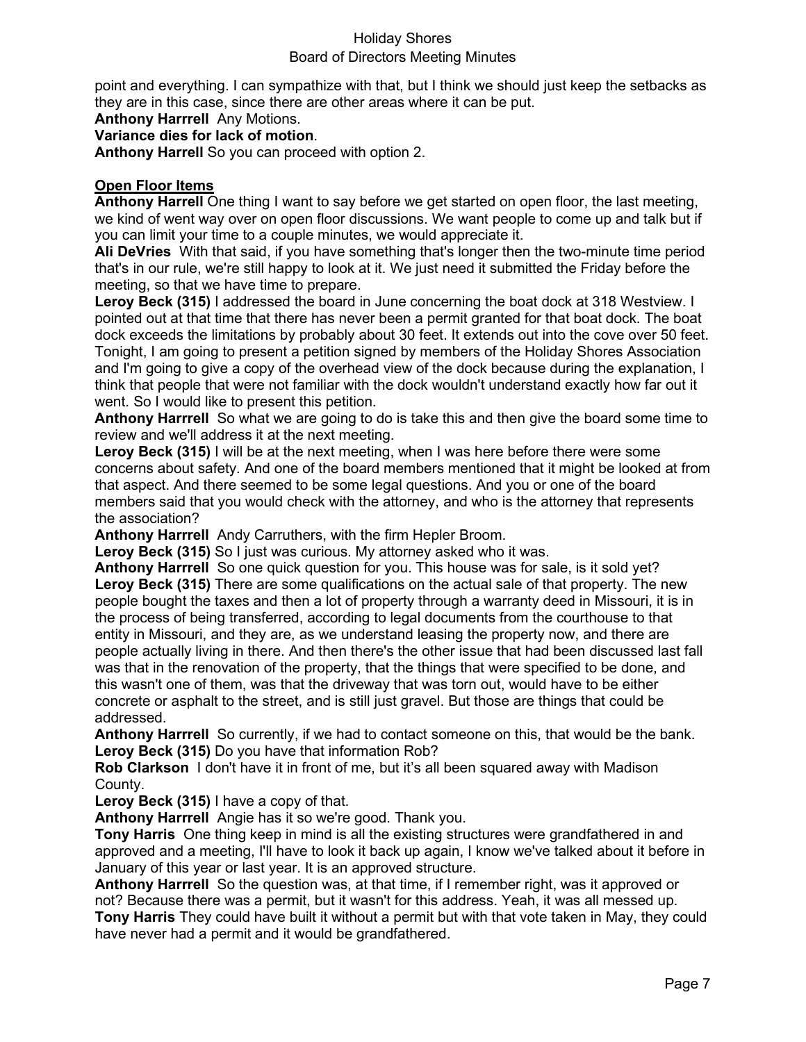## Board of Directors Meeting Minutes

point and everything. I can sympathize with that, but I think we should just keep the setbacks as they are in this case, since there are other areas where it can be put.

**Anthony Harrrell** Any Motions.

**Variance dies for lack of motion**.

**Anthony Harrell** So you can proceed with option 2.

### **Open Floor Items**

**Anthony Harrell** One thing I want to say before we get started on open floor, the last meeting, we kind of went way over on open floor discussions. We want people to come up and talk but if you can limit your time to a couple minutes, we would appreciate it.

**Ali DeVries** With that said, if you have something that's longer then the two-minute time period that's in our rule, we're still happy to look at it. We just need it submitted the Friday before the meeting, so that we have time to prepare.

**Leroy Beck (315)** I addressed the board in June concerning the boat dock at 318 Westview. I pointed out at that time that there has never been a permit granted for that boat dock. The boat dock exceeds the limitations by probably about 30 feet. It extends out into the cove over 50 feet. Tonight, I am going to present a petition signed by members of the Holiday Shores Association and I'm going to give a copy of the overhead view of the dock because during the explanation, I think that people that were not familiar with the dock wouldn't understand exactly how far out it went. So I would like to present this petition.

**Anthony Harrrell** So what we are going to do is take this and then give the board some time to review and we'll address it at the next meeting.

**Leroy Beck (315)** I will be at the next meeting, when I was here before there were some concerns about safety. And one of the board members mentioned that it might be looked at from that aspect. And there seemed to be some legal questions. And you or one of the board members said that you would check with the attorney, and who is the attorney that represents the association?

**Anthony Harrrell** Andy Carruthers, with the firm Hepler Broom.

**Leroy Beck (315)** So I just was curious. My attorney asked who it was.

**Anthony Harrrell** So one quick question for you. This house was for sale, is it sold yet? **Leroy Beck (315)** There are some qualifications on the actual sale of that property. The new people bought the taxes and then a lot of property through a warranty deed in Missouri, it is in the process of being transferred, according to legal documents from the courthouse to that entity in Missouri, and they are, as we understand leasing the property now, and there are people actually living in there. And then there's the other issue that had been discussed last fall was that in the renovation of the property, that the things that were specified to be done, and this wasn't one of them, was that the driveway that was torn out, would have to be either concrete or asphalt to the street, and is still just gravel. But those are things that could be addressed.

**Anthony Harrrell** So currently, if we had to contact someone on this, that would be the bank. **Leroy Beck (315)** Do you have that information Rob?

**Rob Clarkson** I don't have it in front of me, but it's all been squared away with Madison County.

**Leroy Beck (315)** I have a copy of that.

**Anthony Harrrell** Angie has it so we're good. Thank you.

**Tony Harris** One thing keep in mind is all the existing structures were grandfathered in and approved and a meeting, I'll have to look it back up again, I know we've talked about it before in January of this year or last year. It is an approved structure.

**Anthony Harrrell** So the question was, at that time, if I remember right, was it approved or not? Because there was a permit, but it wasn't for this address. Yeah, it was all messed up.

**Tony Harris** They could have built it without a permit but with that vote taken in May, they could have never had a permit and it would be grandfathered.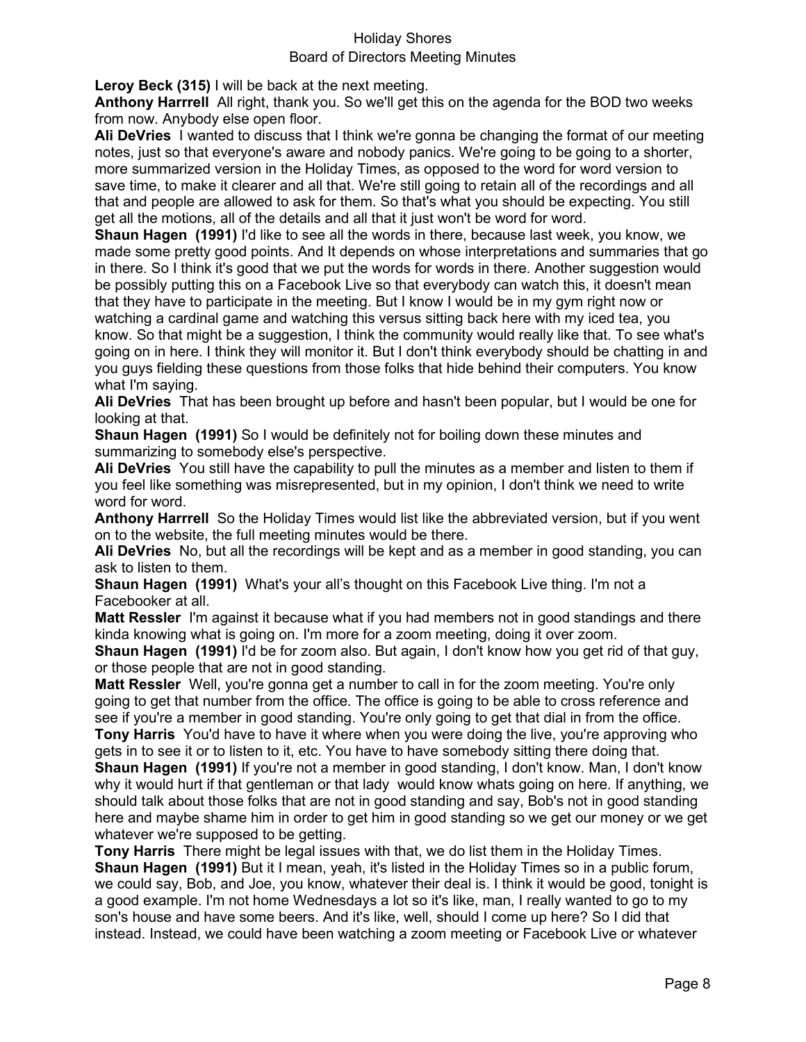**Leroy Beck (315)** I will be back at the next meeting.

**Anthony Harrrell** All right, thank you. So we'll get this on the agenda for the BOD two weeks from now. Anybody else open floor.

**Ali DeVries** I wanted to discuss that I think we're gonna be changing the format of our meeting notes, just so that everyone's aware and nobody panics. We're going to be going to a shorter, more summarized version in the Holiday Times, as opposed to the word for word version to save time, to make it clearer and all that. We're still going to retain all of the recordings and all that and people are allowed to ask for them. So that's what you should be expecting. You still get all the motions, all of the details and all that it just won't be word for word.

**Shaun Hagen (1991)** I'd like to see all the words in there, because last week, you know, we made some pretty good points. And It depends on whose interpretations and summaries that go in there. So I think it's good that we put the words for words in there. Another suggestion would be possibly putting this on a Facebook Live so that everybody can watch this, it doesn't mean that they have to participate in the meeting. But I know I would be in my gym right now or watching a cardinal game and watching this versus sitting back here with my iced tea, you know. So that might be a suggestion, I think the community would really like that. To see what's going on in here. I think they will monitor it. But I don't think everybody should be chatting in and you guys fielding these questions from those folks that hide behind their computers. You know what I'm saying.

**Ali DeVries** That has been brought up before and hasn't been popular, but I would be one for looking at that.

**Shaun Hagen (1991)** So I would be definitely not for boiling down these minutes and summarizing to somebody else's perspective.

**Ali DeVries** You still have the capability to pull the minutes as a member and listen to them if you feel like something was misrepresented, but in my opinion, I don't think we need to write word for word.

**Anthony Harrrell** So the Holiday Times would list like the abbreviated version, but if you went on to the website, the full meeting minutes would be there.

**Ali DeVries** No, but all the recordings will be kept and as a member in good standing, you can ask to listen to them.

**Shaun Hagen (1991)** What's your all's thought on this Facebook Live thing. I'm not a Facebooker at all.

**Matt Ressler** I'm against it because what if you had members not in good standings and there kinda knowing what is going on. I'm more for a zoom meeting, doing it over zoom.

**Shaun Hagen (1991)** I'd be for zoom also. But again, I don't know how you get rid of that guy, or those people that are not in good standing.

**Matt Ressler** Well, you're gonna get a number to call in for the zoom meeting. You're only going to get that number from the office. The office is going to be able to cross reference and see if you're a member in good standing. You're only going to get that dial in from the office. **Tony Harris** You'd have to have it where when you were doing the live, you're approving who

gets in to see it or to listen to it, etc. You have to have somebody sitting there doing that. **Shaun Hagen (1991)** If you're not a member in good standing, I don't know. Man, I don't know

why it would hurt if that gentleman or that lady would know whats going on here. If anything, we should talk about those folks that are not in good standing and say, Bob's not in good standing here and maybe shame him in order to get him in good standing so we get our money or we get whatever we're supposed to be getting.

**Tony Harris** There might be legal issues with that, we do list them in the Holiday Times. **Shaun Hagen (1991)** But it I mean, yeah, it's listed in the Holiday Times so in a public forum, we could say, Bob, and Joe, you know, whatever their deal is. I think it would be good, tonight is a good example. I'm not home Wednesdays a lot so it's like, man, I really wanted to go to my son's house and have some beers. And it's like, well, should I come up here? So I did that instead. Instead, we could have been watching a zoom meeting or Facebook Live or whatever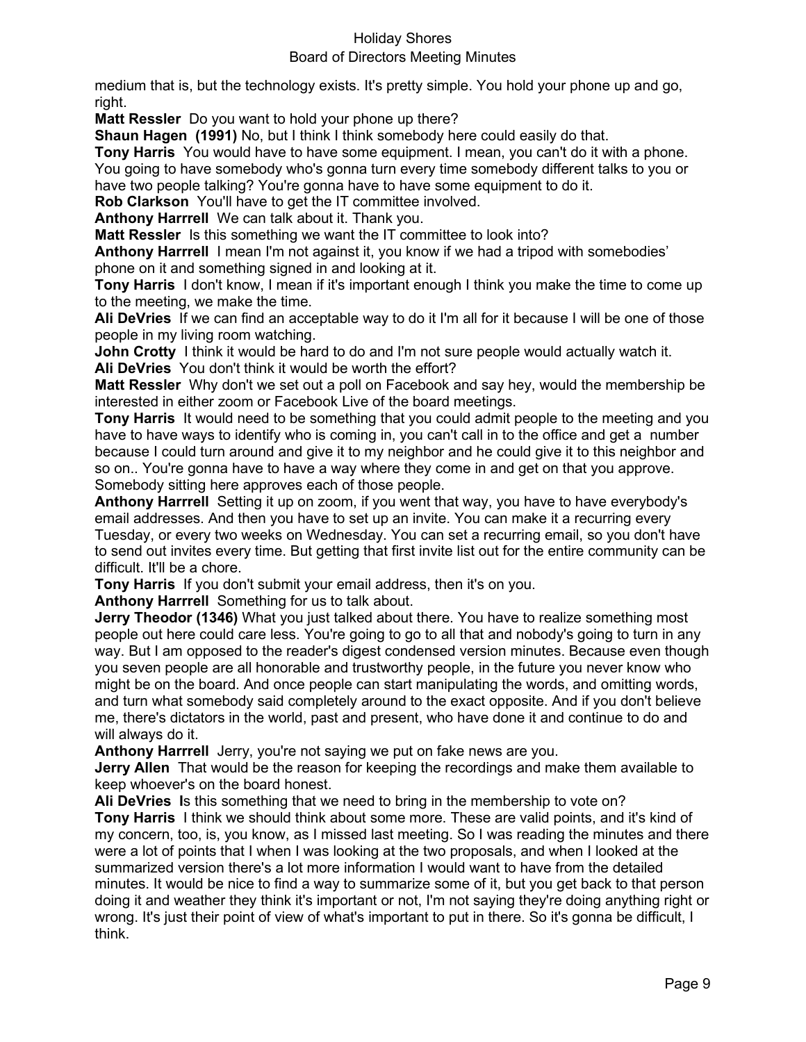## Board of Directors Meeting Minutes

medium that is, but the technology exists. It's pretty simple. You hold your phone up and go, right.

**Matt Ressler** Do you want to hold your phone up there?

**Shaun Hagen (1991)** No, but I think I think somebody here could easily do that.

**Tony Harris** You would have to have some equipment. I mean, you can't do it with a phone. You going to have somebody who's gonna turn every time somebody different talks to you or

have two people talking? You're gonna have to have some equipment to do it.

**Rob Clarkson** You'll have to get the IT committee involved.

**Anthony Harrrell** We can talk about it. Thank you.

**Matt Ressler** Is this something we want the IT committee to look into?

**Anthony Harrrell** I mean I'm not against it, you know if we had a tripod with somebodies' phone on it and something signed in and looking at it.

**Tony Harris** I don't know, I mean if it's important enough I think you make the time to come up to the meeting, we make the time.

**Ali DeVries** If we can find an acceptable way to do it I'm all for it because I will be one of those people in my living room watching.

**John Crotty** I think it would be hard to do and I'm not sure people would actually watch it. **Ali DeVries** You don't think it would be worth the effort?

**Matt Ressler** Why don't we set out a poll on Facebook and say hey, would the membership be interested in either zoom or Facebook Live of the board meetings.

**Tony Harris** It would need to be something that you could admit people to the meeting and you have to have ways to identify who is coming in, you can't call in to the office and get a number because I could turn around and give it to my neighbor and he could give it to this neighbor and so on.. You're gonna have to have a way where they come in and get on that you approve. Somebody sitting here approves each of those people.

**Anthony Harrrell** Setting it up on zoom, if you went that way, you have to have everybody's email addresses. And then you have to set up an invite. You can make it a recurring every Tuesday, or every two weeks on Wednesday. You can set a recurring email, so you don't have to send out invites every time. But getting that first invite list out for the entire community can be difficult. It'll be a chore.

**Tony Harris** If you don't submit your email address, then it's on you.

**Anthony Harrrell** Something for us to talk about.

**Jerry Theodor (1346)** What you just talked about there. You have to realize something most people out here could care less. You're going to go to all that and nobody's going to turn in any way. But I am opposed to the reader's digest condensed version minutes. Because even though you seven people are all honorable and trustworthy people, in the future you never know who might be on the board. And once people can start manipulating the words, and omitting words, and turn what somebody said completely around to the exact opposite. And if you don't believe me, there's dictators in the world, past and present, who have done it and continue to do and will always do it.

**Anthony Harrrell** Jerry, you're not saying we put on fake news are you.

**Jerry Allen** That would be the reason for keeping the recordings and make them available to keep whoever's on the board honest.

**Ali DeVries I**s this something that we need to bring in the membership to vote on? **Tony Harris** I think we should think about some more. These are valid points, and it's kind of my concern, too, is, you know, as I missed last meeting. So I was reading the minutes and there were a lot of points that I when I was looking at the two proposals, and when I looked at the summarized version there's a lot more information I would want to have from the detailed minutes. It would be nice to find a way to summarize some of it, but you get back to that person doing it and weather they think it's important or not, I'm not saying they're doing anything right or wrong. It's just their point of view of what's important to put in there. So it's gonna be difficult, I think.